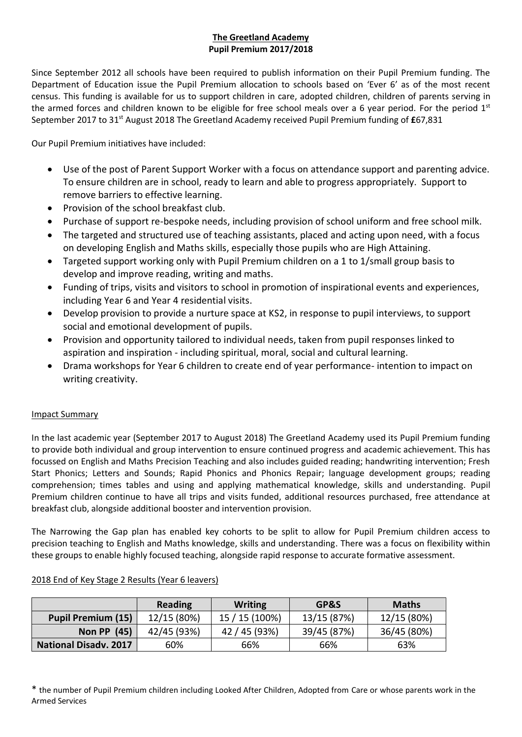# **The Greetland Academy Pupil Premium 2017/2018**

Since September 2012 all schools have been required to publish information on their Pupil Premium funding. The Department of Education issue the Pupil Premium allocation to schools based on 'Ever 6' as of the most recent census. This funding is available for us to support children in care, adopted children, children of parents serving in the armed forces and children known to be eligible for free school meals over a 6 year period. For the period  $1<sup>st</sup>$ September 2017 to 31st August 2018 The Greetland Academy received Pupil Premium funding of **£**67,831

Our Pupil Premium initiatives have included:

- Use of the post of Parent Support Worker with a focus on attendance support and parenting advice. To ensure children are in school, ready to learn and able to progress appropriately. Support to remove barriers to effective learning.
- Provision of the school breakfast club.
- Purchase of support re-bespoke needs, including provision of school uniform and free school milk.
- The targeted and structured use of teaching assistants, placed and acting upon need, with a focus on developing English and Maths skills, especially those pupils who are High Attaining.
- Targeted support working only with Pupil Premium children on a 1 to 1/small group basis to develop and improve reading, writing and maths.
- Funding of trips, visits and visitors to school in promotion of inspirational events and experiences, including Year 6 and Year 4 residential visits.
- Develop provision to provide a nurture space at KS2, in response to pupil interviews, to support social and emotional development of pupils.
- Provision and opportunity tailored to individual needs, taken from pupil responses linked to aspiration and inspiration - including spiritual, moral, social and cultural learning.
- Drama workshops for Year 6 children to create end of year performance- intention to impact on writing creativity.

## Impact Summary

In the last academic year (September 2017 to August 2018) The Greetland Academy used its Pupil Premium funding to provide both individual and group intervention to ensure continued progress and academic achievement. This has focussed on English and Maths Precision Teaching and also includes guided reading; handwriting intervention; Fresh Start Phonics; Letters and Sounds; Rapid Phonics and Phonics Repair; language development groups; reading comprehension; times tables and using and applying mathematical knowledge, skills and understanding. Pupil Premium children continue to have all trips and visits funded, additional resources purchased, free attendance at breakfast club, alongside additional booster and intervention provision.

The Narrowing the Gap plan has enabled key cohorts to be split to allow for Pupil Premium children access to precision teaching to English and Maths knowledge, skills and understanding. There was a focus on flexibility within these groups to enable highly focused teaching, alongside rapid response to accurate formative assessment.

|                              | <b>Reading</b> | <b>Writing</b> | GP&S        | <b>Maths</b> |
|------------------------------|----------------|----------------|-------------|--------------|
| <b>Pupil Premium (15)</b>    | 12/15 (80%)    | 15 / 15 (100%) | 13/15 (87%) | 12/15 (80%)  |
| <b>Non PP</b> (45)           | 42/45 (93%)    | 42 / 45 (93%)  | 39/45 (87%) | 36/45 (80%)  |
| <b>National Disadv. 2017</b> | 60%            | 66%            | 66%         | 63%          |

## 2018 End of Key Stage 2 Results (Year 6 leavers)

\* the number of Pupil Premium children including Looked After Children, Adopted from Care or whose parents work in the Armed Services